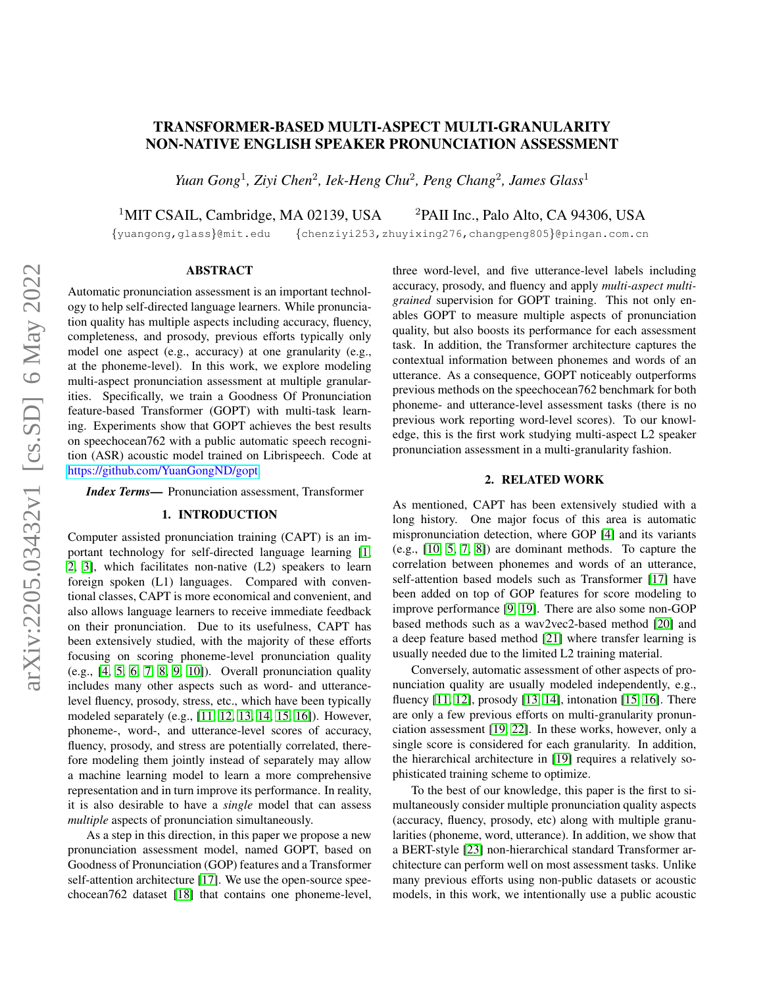# TRANSFORMER-BASED MULTI-ASPECT MULTI-GRANULARITY NON-NATIVE ENGLISH SPEAKER PRONUNCIATION ASSESSMENT

*Yuan Gong*<sup>1</sup> *, Ziyi Chen*<sup>2</sup> *, Iek-Heng Chu*<sup>2</sup> *, Peng Chang*<sup>2</sup> *, James Glass*<sup>1</sup>

<sup>1</sup>MIT CSAIL, Cambridge, MA 02139, USA  $^{2}$ PAII Inc., Palo Alto, CA 94306, USA

{yuangong,glass}@mit.edu {chenziyi253,zhuyixing276,changpeng805}@pingan.com.cn

#### ABSTRACT

Automatic pronunciation assessment is an important technology to help self-directed language learners. While pronunciation quality has multiple aspects including accuracy, fluency, completeness, and prosody, previous efforts typically only model one aspect (e.g., accuracy) at one granularity (e.g., at the phoneme-level). In this work, we explore modeling multi-aspect pronunciation assessment at multiple granularities. Specifically, we train a Goodness Of Pronunciation feature-based Transformer (GOPT) with multi-task learning. Experiments show that GOPT achieves the best results on speechocean762 with a public automatic speech recognition (ASR) acoustic model trained on Librispeech. Code at [https://github.com/YuanGongND/gopt.](https://github.com/YuanGongND/gopt)

*Index Terms*— Pronunciation assessment, Transformer

## 1. INTRODUCTION

Computer assisted pronunciation training (CAPT) is an important technology for self-directed language learning [\[1,](#page-4-0) [2,](#page-4-1) [3\]](#page-4-2), which facilitates non-native (L2) speakers to learn foreign spoken (L1) languages. Compared with conventional classes, CAPT is more economical and convenient, and also allows language learners to receive immediate feedback on their pronunciation. Due to its usefulness, CAPT has been extensively studied, with the majority of these efforts focusing on scoring phoneme-level pronunciation quality (e.g., [\[4,](#page-4-3) [5,](#page-4-4) [6,](#page-4-5) [7,](#page-4-6) [8,](#page-4-7) [9,](#page-4-8) [10\]](#page-4-9)). Overall pronunciation quality includes many other aspects such as word- and utterancelevel fluency, prosody, stress, etc., which have been typically modeled separately (e.g., [\[11,](#page-4-10) [12,](#page-4-11) [13,](#page-4-12) [14,](#page-4-13) [15,](#page-4-14) [16\]](#page-4-15)). However, phoneme-, word-, and utterance-level scores of accuracy, fluency, prosody, and stress are potentially correlated, therefore modeling them jointly instead of separately may allow a machine learning model to learn a more comprehensive representation and in turn improve its performance. In reality, it is also desirable to have a *single* model that can assess *multiple* aspects of pronunciation simultaneously.

As a step in this direction, in this paper we propose a new pronunciation assessment model, named GOPT, based on Goodness of Pronunciation (GOP) features and a Transformer self-attention architecture [\[17\]](#page-4-16). We use the open-source speechocean762 dataset [\[18\]](#page-4-17) that contains one phoneme-level, three word-level, and five utterance-level labels including accuracy, prosody, and fluency and apply *multi-aspect multigrained* supervision for GOPT training. This not only enables GOPT to measure multiple aspects of pronunciation quality, but also boosts its performance for each assessment task. In addition, the Transformer architecture captures the contextual information between phonemes and words of an utterance. As a consequence, GOPT noticeably outperforms previous methods on the speechocean762 benchmark for both phoneme- and utterance-level assessment tasks (there is no previous work reporting word-level scores). To our knowledge, this is the first work studying multi-aspect L2 speaker pronunciation assessment in a multi-granularity fashion.

#### 2. RELATED WORK

As mentioned, CAPT has been extensively studied with a long history. One major focus of this area is automatic mispronunciation detection, where GOP [\[4\]](#page-4-3) and its variants (e.g., [\[10,](#page-4-9) [5,](#page-4-4) [7,](#page-4-6) [8\]](#page-4-7)) are dominant methods. To capture the correlation between phonemes and words of an utterance, self-attention based models such as Transformer [\[17\]](#page-4-16) have been added on top of GOP features for score modeling to improve performance [\[9,](#page-4-8) [19\]](#page-4-18). There are also some non-GOP based methods such as a wav2vec2-based method [\[20\]](#page-4-19) and a deep feature based method [\[21\]](#page-4-20) where transfer learning is usually needed due to the limited L2 training material.

Conversely, automatic assessment of other aspects of pronunciation quality are usually modeled independently, e.g., fluency [\[11,](#page-4-10) [12\]](#page-4-11), prosody [\[13,](#page-4-12) [14\]](#page-4-13), intonation [\[15,](#page-4-14) [16\]](#page-4-15). There are only a few previous efforts on multi-granularity pronunciation assessment [\[19,](#page-4-18) [22\]](#page-4-21). In these works, however, only a single score is considered for each granularity. In addition, the hierarchical architecture in [\[19\]](#page-4-18) requires a relatively sophisticated training scheme to optimize.

To the best of our knowledge, this paper is the first to simultaneously consider multiple pronunciation quality aspects (accuracy, fluency, prosody, etc) along with multiple granularities (phoneme, word, utterance). In addition, we show that a BERT-style [\[23\]](#page-4-22) non-hierarchical standard Transformer architecture can perform well on most assessment tasks. Unlike many previous efforts using non-public datasets or acoustic models, in this work, we intentionally use a public acoustic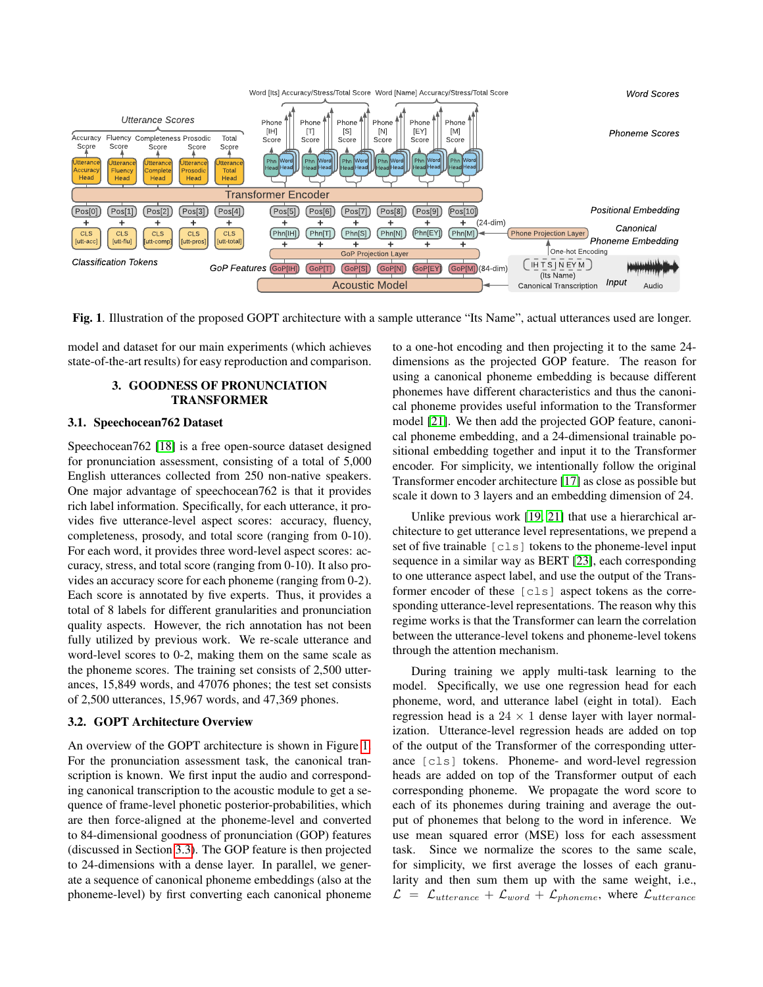

<span id="page-1-0"></span>Fig. 1. Illustration of the proposed GOPT architecture with a sample utterance "Its Name", actual utterances used are longer.

<span id="page-1-1"></span>model and dataset for our main experiments (which achieves state-of-the-art results) for easy reproduction and comparison.

## 3. GOODNESS OF PRONUNCIATION TRANSFORMER

### 3.1. Speechocean762 Dataset

Speechocean762 [\[18\]](#page-4-17) is a free open-source dataset designed for pronunciation assessment, consisting of a total of 5,000 English utterances collected from 250 non-native speakers. One major advantage of speechocean762 is that it provides rich label information. Specifically, for each utterance, it provides five utterance-level aspect scores: accuracy, fluency, completeness, prosody, and total score (ranging from 0-10). For each word, it provides three word-level aspect scores: accuracy, stress, and total score (ranging from 0-10). It also provides an accuracy score for each phoneme (ranging from 0-2). Each score is annotated by five experts. Thus, it provides a total of 8 labels for different granularities and pronunciation quality aspects. However, the rich annotation has not been fully utilized by previous work. We re-scale utterance and word-level scores to 0-2, making them on the same scale as the phoneme scores. The training set consists of 2,500 utterances, 15,849 words, and 47076 phones; the test set consists of 2,500 utterances, 15,967 words, and 47,369 phones.

## 3.2. GOPT Architecture Overview

An overview of the GOPT architecture is shown in Figure [1.](#page-1-0) For the pronunciation assessment task, the canonical transcription is known. We first input the audio and corresponding canonical transcription to the acoustic module to get a sequence of frame-level phonetic posterior-probabilities, which are then force-aligned at the phoneme-level and converted to 84-dimensional goodness of pronunciation (GOP) features (discussed in Section [3.3\)](#page-2-0). The GOP feature is then projected to 24-dimensions with a dense layer. In parallel, we generate a sequence of canonical phoneme embeddings (also at the phoneme-level) by first converting each canonical phoneme

to a one-hot encoding and then projecting it to the same 24 dimensions as the projected GOP feature. The reason for using a canonical phoneme embedding is because different phonemes have different characteristics and thus the canonical phoneme provides useful information to the Transformer model [\[21\]](#page-4-20). We then add the projected GOP feature, canonical phoneme embedding, and a 24-dimensional trainable positional embedding together and input it to the Transformer encoder. For simplicity, we intentionally follow the original Transformer encoder architecture [\[17\]](#page-4-16) as close as possible but scale it down to 3 layers and an embedding dimension of 24.

Unlike previous work [\[19,](#page-4-18) [21\]](#page-4-20) that use a hierarchical architecture to get utterance level representations, we prepend a set of five trainable  $\lceil c \rceil$  tokens to the phoneme-level input sequence in a similar way as BERT [\[23\]](#page-4-22), each corresponding to one utterance aspect label, and use the output of the Transformer encoder of these [cls] aspect tokens as the corresponding utterance-level representations. The reason why this regime works is that the Transformer can learn the correlation between the utterance-level tokens and phoneme-level tokens through the attention mechanism.

During training we apply multi-task learning to the model. Specifically, we use one regression head for each phoneme, word, and utterance label (eight in total). Each regression head is a  $24 \times 1$  dense layer with layer normalization. Utterance-level regression heads are added on top of the output of the Transformer of the corresponding utterance [cls] tokens. Phoneme- and word-level regression heads are added on top of the Transformer output of each corresponding phoneme. We propagate the word score to each of its phonemes during training and average the output of phonemes that belong to the word in inference. We use mean squared error (MSE) loss for each assessment task. Since we normalize the scores to the same scale, for simplicity, we first average the losses of each granularity and then sum them up with the same weight, i.e.,  $\mathcal{L} = \mathcal{L}_{utterance} + \mathcal{L}_{word} + \mathcal{L}_{phoneme}$ , where  $\mathcal{L}_{utterance}$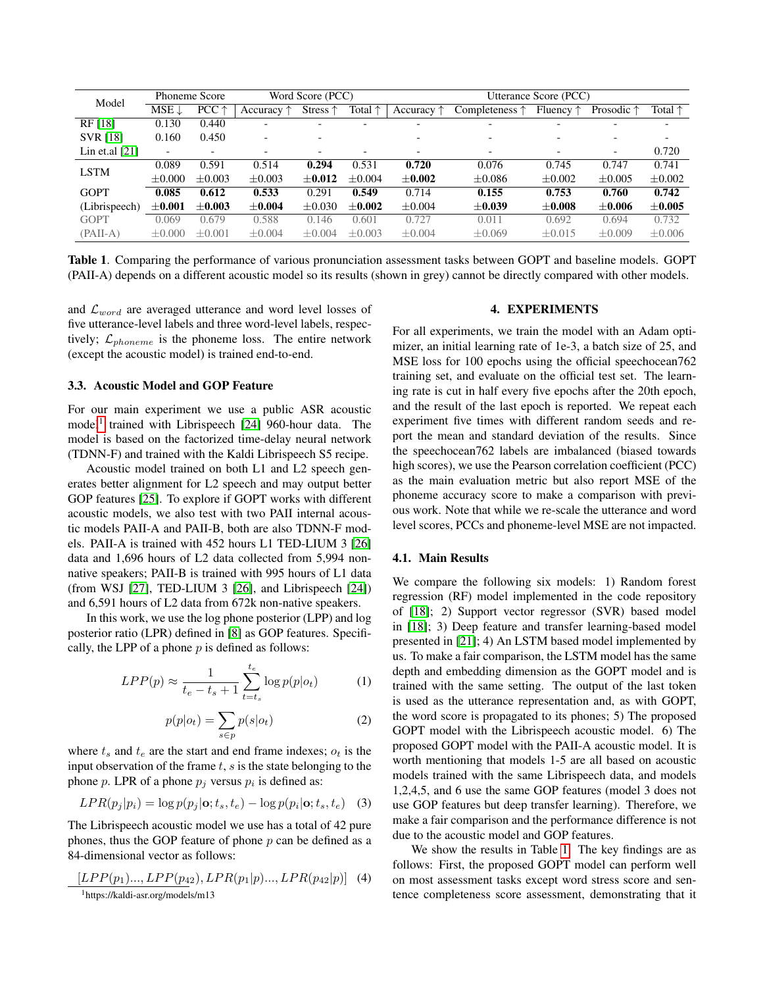| Model            | <b>Phoneme Score</b>     |                | Word Score (PCC)         |                          |                  | Utterance Score (PCC) |                          |                          |                          |                  |
|------------------|--------------------------|----------------|--------------------------|--------------------------|------------------|-----------------------|--------------------------|--------------------------|--------------------------|------------------|
|                  | $MSE \downarrow$         | $PCC \uparrow$ | Accuracy $\uparrow$      | Stress $\uparrow$        | Total $\uparrow$ | Accuracy $\uparrow$   | Completeness $\uparrow$  | Fluency $\uparrow$       | Prosodic $\uparrow$      | Total $\uparrow$ |
| RF [18]          | 0.130                    | 0.440          |                          |                          |                  |                       |                          |                          |                          |                  |
| <b>SVR [18]</b>  | 0.160                    | 0.450          | $\overline{\phantom{a}}$ | $\overline{\phantom{0}}$ |                  | -                     | $\overline{\phantom{0}}$ | $\overline{\phantom{0}}$ |                          |                  |
| Lin et.al $[21]$ | $\overline{\phantom{0}}$ |                |                          |                          |                  |                       | $\overline{\phantom{a}}$ |                          | $\overline{\phantom{a}}$ | 0.720            |
| <b>LSTM</b>      | 0.089                    | 0.591          | 0.514                    | 0.294                    | 0.531            | 0.720                 | 0.076                    | 0.745                    | 0.747                    | 0.741            |
|                  | $+0.000$                 | $+0.003$       | $+0.003$                 | $+0.012$                 | $+0.004$         | $\pm 0.002$           | $\pm 0.086$              | $\pm 0.002$              | $+0.005$                 | $\pm 0.002$      |
| <b>GOPT</b>      | 0.085                    | 0.612          | 0.533                    | 0.291                    | 0.549            | 0.714                 | 0.155                    | 0.753                    | 0.760                    | 0.742            |
| (Librispeech)    | $\pm 0.001$              | $+0.003$       | $+0.004$                 | $+0.030$                 | $+0.002$         | $\pm 0.004$           | $\pm 0.039$              | $+0.008$                 | $+0.006$                 | $\pm 0.005$      |
| <b>GOPT</b>      | 0.069                    | 0.679          | 0.588                    | 0.146                    | 0.601            | 0.727                 | 0.011                    | 0.692                    | 0.694                    | 0.732            |
| $(PAII-A)$       | $\pm 0.000$              | $+0.001$       | $\pm 0.004$              | $+0.004$                 | $\pm 0.003$      | $\pm 0.004$           | $\pm 0.069$              | $\pm 0.015$              | $\pm 0.009$              | $\pm 0.006$      |

<span id="page-2-2"></span>Table 1. Comparing the performance of various pronunciation assessment tasks between GOPT and baseline models. GOPT (PAII-A) depends on a different acoustic model so its results (shown in grey) cannot be directly compared with other models.

and  $\mathcal{L}_{word}$  are averaged utterance and word level losses of five utterance-level labels and three word-level labels, respectively;  $\mathcal{L}_{phoneme}$  is the phoneme loss. The entire network (except the acoustic model) is trained end-to-end.

#### <span id="page-2-0"></span>3.3. Acoustic Model and GOP Feature

For our main experiment we use a public ASR acoustic model<sup>[1](#page-2-1)</sup> trained with Librispeech [\[24\]](#page-4-23) 960-hour data. The model is based on the factorized time-delay neural network (TDNN-F) and trained with the Kaldi Librispeech S5 recipe.

Acoustic model trained on both L1 and L2 speech generates better alignment for L2 speech and may output better GOP features [\[25\]](#page-4-24). To explore if GOPT works with different acoustic models, we also test with two PAII internal acoustic models PAII-A and PAII-B, both are also TDNN-F models. PAII-A is trained with 452 hours L1 TED-LIUM 3 [\[26\]](#page-4-25) data and 1,696 hours of L2 data collected from 5,994 nonnative speakers; PAII-B is trained with 995 hours of L1 data (from WSJ [\[27\]](#page-4-26), TED-LIUM 3 [\[26\]](#page-4-25), and Librispeech [\[24\]](#page-4-23)) and 6,591 hours of L2 data from 672k non-native speakers.

In this work, we use the log phone posterior (LPP) and log posterior ratio (LPR) defined in [\[8\]](#page-4-7) as GOP features. Specifically, the LPP of a phone  $p$  is defined as follows:

$$
LPP(p) \approx \frac{1}{t_e - t_s + 1} \sum_{t=t_s}^{t_e} \log p(p|o_t)
$$
 (1)

$$
p(p|o_t) = \sum_{s \in p} p(s|o_t)
$$
 (2)

where  $t_s$  and  $t_e$  are the start and end frame indexes;  $o_t$  is the input observation of the frame  $t, s$  is the state belonging to the phone p. LPR of a phone  $p_j$  versus  $p_i$  is defined as:

$$
LPR(p_j|p_i) = \log p(p_j|\mathbf{o}; t_s, t_e) - \log p(p_i|\mathbf{o}; t_s, t_e) \quad (3)
$$

The Librispeech acoustic model we use has a total of 42 pure phones, thus the GOP feature of phone  $p$  can be defined as a 84-dimensional vector as follows:

<span id="page-2-1"></span>
$$
\underbrace{LPP(p_1)\dots, LPP(p_{42})}_{\text{lhttps://kaldi-asr.org/models/m13}}, LPR(p_1|p)\dots, LPR(p_{42}|p)] \quad (4)
$$

#### 4. EXPERIMENTS

For all experiments, we train the model with an Adam optimizer, an initial learning rate of 1e-3, a batch size of 25, and MSE loss for 100 epochs using the official speechocean762 training set, and evaluate on the official test set. The learning rate is cut in half every five epochs after the 20th epoch, and the result of the last epoch is reported. We repeat each experiment five times with different random seeds and report the mean and standard deviation of the results. Since the speechocean762 labels are imbalanced (biased towards high scores), we use the Pearson correlation coefficient (PCC) as the main evaluation metric but also report MSE of the phoneme accuracy score to make a comparison with previous work. Note that while we re-scale the utterance and word level scores, PCCs and phoneme-level MSE are not impacted.

#### 4.1. Main Results

We compare the following six models: 1) Random forest regression (RF) model implemented in the code repository of [\[18\]](#page-4-17); 2) Support vector regressor (SVR) based model in [\[18\]](#page-4-17); 3) Deep feature and transfer learning-based model presented in [\[21\]](#page-4-20); 4) An LSTM based model implemented by us. To make a fair comparison, the LSTM model has the same depth and embedding dimension as the GOPT model and is trained with the same setting. The output of the last token is used as the utterance representation and, as with GOPT, the word score is propagated to its phones; 5) The proposed GOPT model with the Librispeech acoustic model. 6) The proposed GOPT model with the PAII-A acoustic model. It is worth mentioning that models 1-5 are all based on acoustic models trained with the same Librispeech data, and models 1,2,4,5, and 6 use the same GOP features (model 3 does not use GOP features but deep transfer learning). Therefore, we make a fair comparison and the performance difference is not due to the acoustic model and GOP features.

We show the results in Table [1.](#page-2-2) The key findings are as follows: First, the proposed GOPT model can perform well on most assessment tasks except word stress score and sentence completeness score assessment, demonstrating that it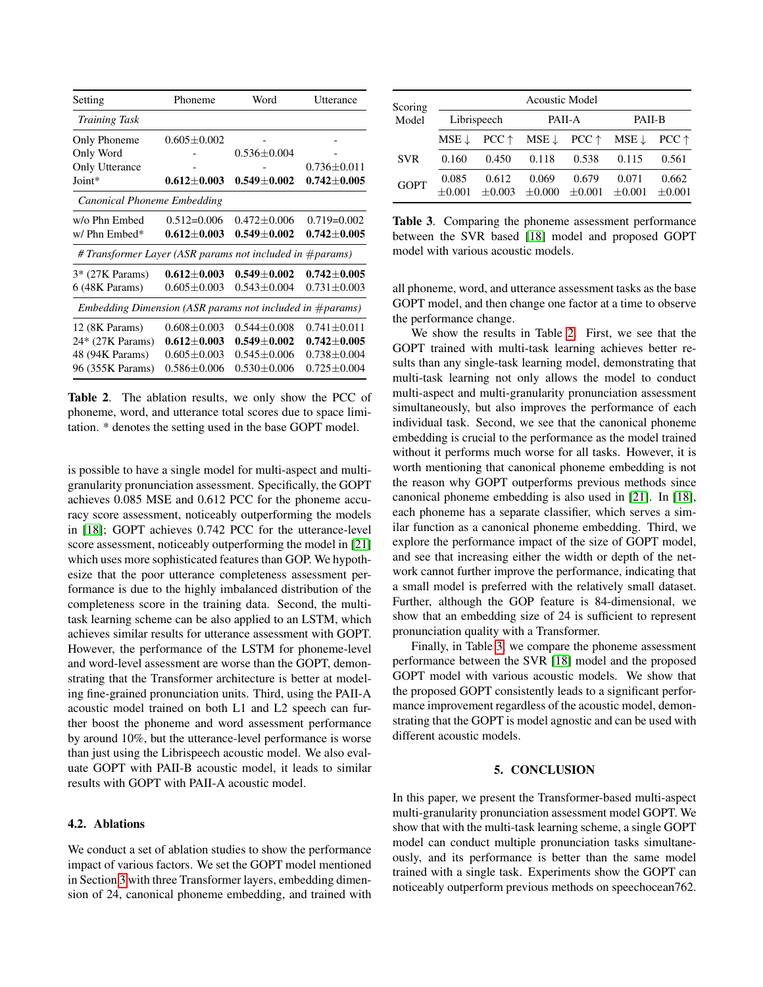| Setting                                                      | Phoneme           | Word              | Utterance         |  |  |  |  |
|--------------------------------------------------------------|-------------------|-------------------|-------------------|--|--|--|--|
| <b>Training Task</b>                                         |                   |                   |                   |  |  |  |  |
| Only Phoneme                                                 | $0.605 \pm 0.002$ |                   |                   |  |  |  |  |
| Only Word                                                    |                   | $0.536 \pm 0.004$ |                   |  |  |  |  |
| Only Utterance                                               |                   |                   | $0.736 \pm 0.011$ |  |  |  |  |
| Joint*                                                       | $0.612 \pm 0.003$ | $0.549 \pm 0.002$ | $0.742 \pm 0.005$ |  |  |  |  |
| Canonical Phoneme Embedding                                  |                   |                   |                   |  |  |  |  |
| w/o Phn Embed                                                | $0.512 = 0.006$   | $0.472 \pm 0.006$ | $0.719 = 0.002$   |  |  |  |  |
| w/ Phn Embed*                                                | $0.612 \pm 0.003$ | $0.549 + 0.002$   | $0.742 \pm 0.005$ |  |  |  |  |
| # Transformer Layer (ASR params not included in #params)     |                   |                   |                   |  |  |  |  |
| 3* (27K Params)                                              | $0.612 \pm 0.003$ | $0.549 + 0.002$   | $0.742 \pm 0.005$ |  |  |  |  |
| 6 (48K Params)                                               | $0.605 \pm 0.003$ | $0.543 \pm 0.004$ | $0.731 \pm 0.003$ |  |  |  |  |
| Embedding Dimension (ASR params not included in $\#params$ ) |                   |                   |                   |  |  |  |  |
| 12 (8K Params)                                               | $0.608 \pm 0.003$ | $0.544 \pm 0.008$ | $0.741 \pm 0.011$ |  |  |  |  |
| 24* (27K Params)                                             | $0.612 \pm 0.003$ | $0.549 \pm 0.002$ | $0.742 \pm 0.005$ |  |  |  |  |
| 48 (94K Params)                                              | $0.605 \pm 0.003$ | $0.545 \pm 0.006$ | $0.738 \pm 0.004$ |  |  |  |  |
| 96 (355K Params)                                             | $0.586 \pm 0.006$ | $0.530 \pm 0.006$ | $0.725 \pm 0.004$ |  |  |  |  |

<span id="page-3-0"></span>Table 2. The ablation results, we only show the PCC of phoneme, word, and utterance total scores due to space limitation. \* denotes the setting used in the base GOPT model.

is possible to have a single model for multi-aspect and multigranularity pronunciation assessment. Specifically, the GOPT achieves 0.085 MSE and 0.612 PCC for the phoneme accuracy score assessment, noticeably outperforming the models in [\[18\]](#page-4-17); GOPT achieves 0.742 PCC for the utterance-level score assessment, noticeably outperforming the model in [\[21\]](#page-4-20) which uses more sophisticated features than GOP. We hypothesize that the poor utterance completeness assessment performance is due to the highly imbalanced distribution of the completeness score in the training data. Second, the multitask learning scheme can be also applied to an LSTM, which achieves similar results for utterance assessment with GOPT. However, the performance of the LSTM for phoneme-level and word-level assessment are worse than the GOPT, demonstrating that the Transformer architecture is better at modeling fine-grained pronunciation units. Third, using the PAII-A acoustic model trained on both L1 and L2 speech can further boost the phoneme and word assessment performance by around 10%, but the utterance-level performance is worse than just using the Librispeech acoustic model. We also evaluate GOPT with PAII-B acoustic model, it leads to similar results with GOPT with PAII-A acoustic model.

## 4.2. Ablations

We conduct a set of ablation studies to show the performance impact of various factors. We set the GOPT model mentioned in Section [3](#page-1-1) with three Transformer layers, embedding dimension of 24, canonical phoneme embedding, and trained with

| Scoring     | <b>Acoustic Model</b> |                   |                                                                 |                      |                      |                   |  |  |
|-------------|-----------------------|-------------------|-----------------------------------------------------------------|----------------------|----------------------|-------------------|--|--|
| Model       | Librispeech           |                   |                                                                 | PAII-A               | <b>PAII-B</b>        |                   |  |  |
|             | $MSE \perp$           |                   | $PCC \uparrow$ MSE $\downarrow$ PCC $\uparrow$ MSE $\downarrow$ |                      |                      | $PCC \uparrow$    |  |  |
| <b>SVR</b>  | 0.160                 | 0.450             | 0.118                                                           | 0.538                | 0.115                | 0.561             |  |  |
| <b>GOPT</b> | 0.085                 | 0.612<br>$+0.003$ | 0.069<br>$+0.000$                                               | 0.679<br>$\pm 0.001$ | 0.071<br>$\pm 0.001$ | 0.662<br>$+0.001$ |  |  |

<span id="page-3-1"></span>Table 3. Comparing the phoneme assessment performance between the SVR based [\[18\]](#page-4-17) model and proposed GOPT model with various acoustic models.

all phoneme, word, and utterance assessment tasks as the base GOPT model, and then change one factor at a time to observe the performance change.

We show the results in Table [2.](#page-3-0) First, we see that the GOPT trained with multi-task learning achieves better results than any single-task learning model, demonstrating that multi-task learning not only allows the model to conduct multi-aspect and multi-granularity pronunciation assessment simultaneously, but also improves the performance of each individual task. Second, we see that the canonical phoneme embedding is crucial to the performance as the model trained without it performs much worse for all tasks. However, it is worth mentioning that canonical phoneme embedding is not the reason why GOPT outperforms previous methods since canonical phoneme embedding is also used in [\[21\]](#page-4-20). In [\[18\]](#page-4-17), each phoneme has a separate classifier, which serves a similar function as a canonical phoneme embedding. Third, we explore the performance impact of the size of GOPT model, and see that increasing either the width or depth of the network cannot further improve the performance, indicating that a small model is preferred with the relatively small dataset. Further, although the GOP feature is 84-dimensional, we show that an embedding size of 24 is sufficient to represent pronunciation quality with a Transformer.

Finally, in Table [3,](#page-3-1) we compare the phoneme assessment performance between the SVR [\[18\]](#page-4-17) model and the proposed GOPT model with various acoustic models. We show that the proposed GOPT consistently leads to a significant performance improvement regardless of the acoustic model, demonstrating that the GOPT is model agnostic and can be used with different acoustic models.

#### 5. CONCLUSION

In this paper, we present the Transformer-based multi-aspect multi-granularity pronunciation assessment model GOPT. We show that with the multi-task learning scheme, a single GOPT model can conduct multiple pronunciation tasks simultaneously, and its performance is better than the same model trained with a single task. Experiments show the GOPT can noticeably outperform previous methods on speechocean762.